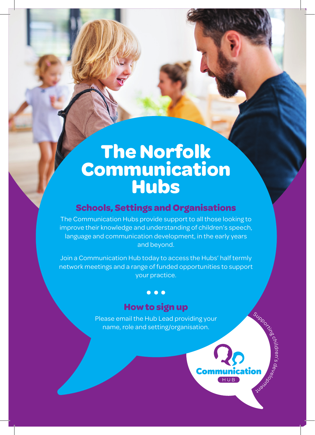# **The Norfolk Communication Hubs**

## **Schools, Settings and Organisations**

The Communication Hubs provide support to all those looking to improve their knowledge and understanding of children's speech, language and communication development, in the early years and beyond.

Join a Communication Hub today to access the Hubs' half termly network meetings and a range of funded opportunities to support your practice.

# **How to sign up**

 $\bullet$   $\bullet$   $\bullet$ 

Please email the Hub Lead providing your name, role and setting/organisation.